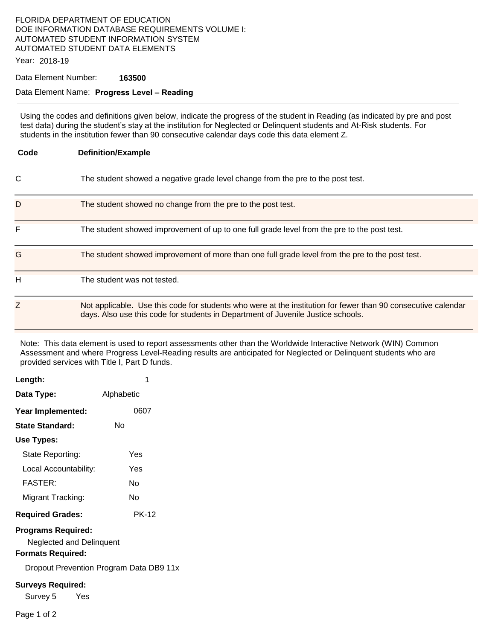### FLORIDA DEPARTMENT OF EDUCATION DOE INFORMATION DATABASE REQUIREMENTS VOLUME I: AUTOMATED STUDENT INFORMATION SYSTEM AUTOMATED STUDENT DATA ELEMENTS

Year: 2018-19

#### Data Element Number: **163500**

#### Data Element Name: **Progress Level – Reading**

Using the codes and definitions given below, indicate the progress of the student in Reading (as indicated by pre and post test data) during the student's stay at the institution for Neglected or Delinquent students and At-Risk students. For students in the institution fewer than 90 consecutive calendar days code this data element Z.

| Code | <b>Definition/Example</b>                                                                                                                                                                         |
|------|---------------------------------------------------------------------------------------------------------------------------------------------------------------------------------------------------|
| C    | The student showed a negative grade level change from the pre to the post test.                                                                                                                   |
| D    | The student showed no change from the pre to the post test.                                                                                                                                       |
| F    | The student showed improvement of up to one full grade level from the pre to the post test.                                                                                                       |
| G    | The student showed improvement of more than one full grade level from the pre to the post test.                                                                                                   |
| н    | The student was not tested.                                                                                                                                                                       |
| Z    | Not applicable. Use this code for students who were at the institution for fewer than 90 consecutive calendar<br>days. Also use this code for students in Department of Juvenile Justice schools. |

Note: This data element is used to report assessments other than the Worldwide Interactive Network (WIN) Common Assessment and where Progress Level-Reading results are anticipated for Neglected or Delinquent students who are provided services with Title I, Part D funds.

| Length:                                                                                  | 1                                       |  |  |  |
|------------------------------------------------------------------------------------------|-----------------------------------------|--|--|--|
| Data Type:                                                                               | Alphabetic                              |  |  |  |
| Year Implemented:                                                                        | 0607                                    |  |  |  |
| State Standard:                                                                          | N٥                                      |  |  |  |
| Use Types:                                                                               |                                         |  |  |  |
| State Reporting:                                                                         | Yes                                     |  |  |  |
| Local Accountability:                                                                    | Yes                                     |  |  |  |
| <b>FASTER:</b>                                                                           | N٥                                      |  |  |  |
| Migrant Tracking:                                                                        | N٥                                      |  |  |  |
| <b>Required Grades:</b>                                                                  | <b>PK-12</b>                            |  |  |  |
| <b>Programs Required:</b><br><b>Neglected and Delinquent</b><br><b>Formats Required:</b> |                                         |  |  |  |
|                                                                                          | Dropout Prevention Program Data DB9 11x |  |  |  |
| <b>Surveys Required:</b>                                                                 |                                         |  |  |  |

Survey 5 Yes